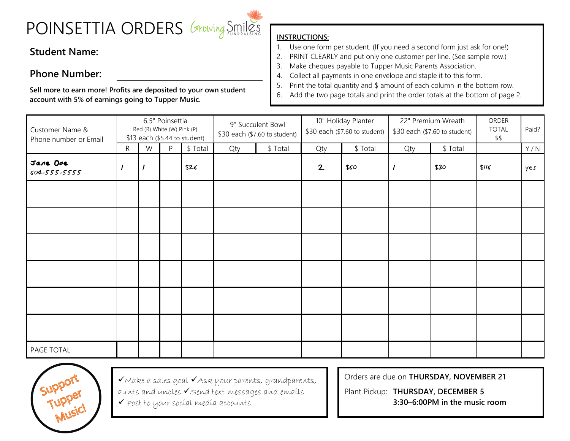## POINSETTIA ORDERS Growing Smilles

## **Student Name:**

## **Phone Number:**

**Sell more to earn more! Profits are deposited to your own student account with 5% of earnings going to Tupper Music.**

## **INSTRUCTIONS:**

- 1. Use one form per student. (If you need a second form just ask for one!)
- 2. PRINT CLEARLY and put only one customer per line. (See sample row.)
- 3. Make cheques payable to Tupper Music Parents Association.
- 4. Collect all payments in one envelope and staple it to this form.
- 5. Print the total quantity and \$ amount of each column in the bottom row.
- 6. Add the two page totals and print the order totals at the bottom of page 2.

| Customer Name &<br>Phone number or Email | 6.5" Poinsettia<br>Red (R) White (W) Pink (P)<br>\$13 each (\$5.44 to student) |          |   |          | 9" Succulent Bowl<br>\$30 each (\$7.60 to student) |          | 10" Holiday Planter<br>\$30 each (\$7.60 to student) |          | 22" Premium Wreath<br>\$30 each (\$7.60 to student) |          | ORDER<br><b>TOTAL</b><br>\$\$ | Paid? |
|------------------------------------------|--------------------------------------------------------------------------------|----------|---|----------|----------------------------------------------------|----------|------------------------------------------------------|----------|-----------------------------------------------------|----------|-------------------------------|-------|
|                                          | $\mathsf{R}$                                                                   | W        | P | \$ Total | Qty                                                | \$ Total | Qty                                                  | \$ Total | Qty                                                 | \$ Total |                               | Y/N   |
| Jane Doe<br>604-555-5555                 |                                                                                | $\prime$ |   | \$26     |                                                    |          | 2                                                    | \$60     |                                                     | \$30     | \$116                         | Yes   |
|                                          |                                                                                |          |   |          |                                                    |          |                                                      |          |                                                     |          |                               |       |
|                                          |                                                                                |          |   |          |                                                    |          |                                                      |          |                                                     |          |                               |       |
|                                          |                                                                                |          |   |          |                                                    |          |                                                      |          |                                                     |          |                               |       |
|                                          |                                                                                |          |   |          |                                                    |          |                                                      |          |                                                     |          |                               |       |
|                                          |                                                                                |          |   |          |                                                    |          |                                                      |          |                                                     |          |                               |       |
|                                          |                                                                                |          |   |          |                                                    |          |                                                      |          |                                                     |          |                               |       |
| PAGE TOTAL                               |                                                                                |          |   |          |                                                    |          |                                                      |          |                                                     |          |                               |       |



✓Make a sales goal ✓Ask your parents, grandparents, aunts and uncles ✓Send text messages and emails ✓ Post to your social media accounts

Orders are due on **THURSDAY, NOVEMBER 21**

Plant Pickup: **THURSDAY, DECEMBER 5 3:30–6:00PM in the music room**